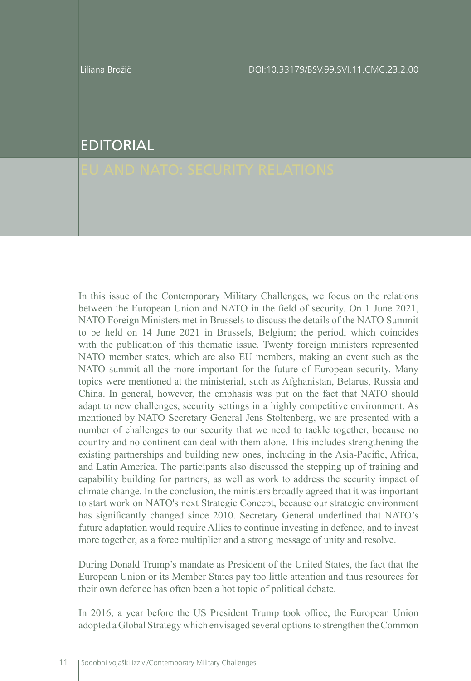Liliana Brožič DOI:10.33179/BSV.99.SVI.11.CMC.23.2.00

## EDITORIAL

In this issue of the Contemporary Military Challenges, we focus on the relations between the European Union and NATO in the field of security. On 1 June 2021, NATO Foreign Ministers met in Brussels to discuss the details of the NATO Summit to be held on 14 June 2021 in Brussels, Belgium; the period, which coincides with the publication of this thematic issue. Twenty foreign ministers represented NATO member states, which are also EU members, making an event such as the NATO summit all the more important for the future of European security. Many topics were mentioned at the ministerial, such as Afghanistan, Belarus, Russia and China. In general, however, the emphasis was put on the fact that NATO should adapt to new challenges, security settings in a highly competitive environment. As mentioned by NATO Secretary General Jens Stoltenberg, we are presented with a number of challenges to our security that we need to tackle together, because no country and no continent can deal with them alone. This includes strengthening the existing partnerships and building new ones, including in the Asia-Pacific, Africa, and Latin America. The participants also discussed the stepping up of training and capability building for partners, as well as work to address the security impact of climate change. In the conclusion, the ministers broadly agreed that it was important to start work on NATO's next Strategic Concept, because our strategic environment has significantly changed since 2010. Secretary General underlined that NATO's future adaptation would require Allies to continue investing in defence, and to invest more together, as a force multiplier and a strong message of unity and resolve.

During Donald Trump's mandate as President of the United States, the fact that the European Union or its Member States pay too little attention and thus resources for their own defence has often been a hot topic of political debate.

In 2016, a year before the US President Trump took office, the European Union adopted a Global Strategy which envisaged several options to strengthen the Common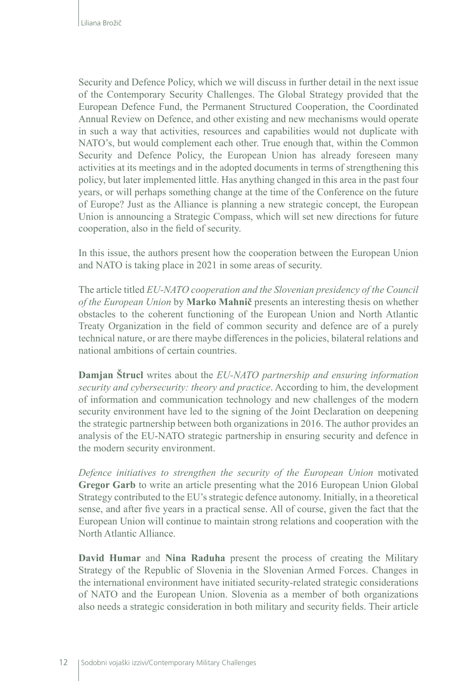Security and Defence Policy, which we will discuss in further detail in the next issue of the Contemporary Security Challenges. The Global Strategy provided that the European Defence Fund, the Permanent Structured Cooperation, the Coordinated Annual Review on Defence, and other existing and new mechanisms would operate in such a way that activities, resources and capabilities would not duplicate with NATO's, but would complement each other. True enough that, within the Common Security and Defence Policy, the European Union has already foreseen many activities at its meetings and in the adopted documents in terms of strengthening this policy, but later implemented little. Has anything changed in this area in the past four years, or will perhaps something change at the time of the Conference on the future of Europe? Just as the Alliance is planning a new strategic concept, the European Union is announcing a Strategic Compass, which will set new directions for future cooperation, also in the field of security.

In this issue, the authors present how the cooperation between the European Union and NATO is taking place in 2021 in some areas of security.

The article titled *EU-NATO cooperation and the Slovenian presidency of the Council of the European Union* by **Marko Mahnič** presents an interesting thesis on whether obstacles to the coherent functioning of the European Union and North Atlantic Treaty Organization in the field of common security and defence are of a purely technical nature, or are there maybe differences in the policies, bilateral relations and national ambitions of certain countries.

**Damjan Štrucl** writes about the *EU-NATO partnership and ensuring information security and cybersecurity: theory and practice*. According to him, the development of information and communication technology and new challenges of the modern security environment have led to the signing of the Joint Declaration on deepening the strategic partnership between both organizations in 2016. The author provides an analysis of the EU-NATO strategic partnership in ensuring security and defence in the modern security environment.

*Defence initiatives to strengthen the security of the European Union* motivated **Gregor Garb** to write an article presenting what the 2016 European Union Global Strategy contributed to the EU's strategic defence autonomy. Initially, in a theoretical sense, and after five years in a practical sense. All of course, given the fact that the European Union will continue to maintain strong relations and cooperation with the North Atlantic Alliance.

**David Humar** and **Nina Raduha** present the process of creating the Military Strategy of the Republic of Slovenia in the Slovenian Armed Forces. Changes in the international environment have initiated security-related strategic considerations of NATO and the European Union. Slovenia as a member of both organizations also needs a strategic consideration in both military and security fields. Their article